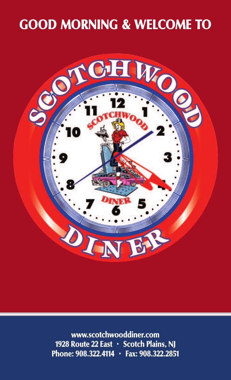# **GOOD MORNING & WELCOME TO**



**www.scotchwooddiner.com 1928 Route 22 East • Scotch Plains, NJ Phone: 908.322.4114 • Fax: 908.322.2851**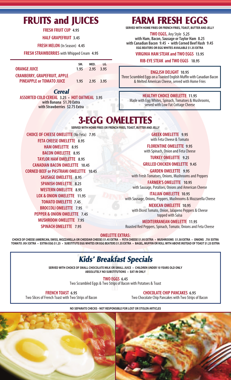# **FRUITS and JUICES**

**FRESH FRUIT CUP 4.95** 

**HALF GRAPEFRUIT 3.45**

**FRESH MELON** (In Season) **4.45**

**FRESH STRAWBERRIES** with Whipped Cream 4.95

|                                     | SM. | $MED.$ $LG.$   |  |
|-------------------------------------|-----|----------------|--|
| <b>ORANGE JUICE</b>                 |     | 1.95 2.95 3.95 |  |
| <b>CRANBERRY, GRAPEFRUIT, APPLE</b> |     |                |  |
| <b>PINEAPPLE or TOMATO JUICE</b>    |     | 1.95 2.95 3.95 |  |

*Cereal*

**ASSORTED COLD CEREAL 3.25 • HOT OATMEAL 3.95 with Banana \$1.70 Extra with Strawberries \$2.75 Extra**

# **FARM FRESH EGGS**

**SERVED WITH HOME FRIES OR FRENCH FRIES, TOAST, BUTTER AND JELLY**

**TWO EGGS,** AnyStyle **5.25 with Ham, Bacon,Sausage orTaylor Ham 8.25 with Canadian Bacon 9.45 • with Corned Beef Hash 9.45 EGG BEATERS OR EGG WHITES AVAILABLE \$1.35 EXTRA**

#### **VIRGINIA HAM STEAK and TWO EGGS 13.95**

**RIB-EYESTEAK and TWO EGGS 18.95**

#### **ENGLISH DELIGHT 10.95**

Three Scrambled Eggs on a Toasted English Muffin with Canadian Bacon & Melted American Cheese, served with Home Fries

#### **HEALTHYCHOICE OMELETTE 11.95**

Made with Egg Whites, Spinach, Tomatoes & Mushrooms, served with Low Fat Cottage Cheese

# **3-EGG OMELETTES**

**SERVED WITH HOME FRIES OR FRENCH FRIES, TOAST, BUTTER AND JELLY**

**CHOICE OFCHEESE OMELETTE**(NoFeta) **7.95 FETA CHEESE OMELETTE 8.95 HAM OMELETTE 8.95 BACON OMELETTE 8.95 TAYLOR HAM OMELETTE 8.95 CANADIAN BACON OMELETTE 10.45 CORNED BEEF or PASTRAMI OMELETTE 10.45 SAUSAGE OMELETTE 8.95 SPANISH OMELETTE 8.25 WESTERN OMELETTE 8.95 LOX & ONION OMELETTE 11.95 TOMATO OMELETTE 7.45 BROCCOLI OMELETTE 7.95 PEPPER & ONION OMELETTE 7.45 MUSHROOM OMELETTE 7.95 SPINACH OMELETTE 7.95**

**GREEK OMELETTE 9.95** with Feta Cheese & Tomato

**FLORENTINE OMELETTE 9.95**

with Spinach, Onion and Feta Cheese

**TURKEY OMELETTE 9.25**

**GRILLED CHICKEN OMELETTE 9.45**

**GARDEN OMELETTE 9.95** with Fresh Tomatoes, Onions, Mushrooms and Peppers

**FARMER'S OMELETTE 10.95** with Sausage, Potatoes, Onions and American Cheese

**ITALIAN OMELETTE 10.95** with Sausage, Onions, Peppers, Mushrooms & Mozzarella Cheese

**MEXICAN OMELETTE 10.95**

with Diced Tomato, Onion, Jalapeno Peppers & Cheese topped with Salsa

**MEDITERRANEAN OMELETTE 11.95**

Roasted Red Peppers, Spinach, Tomato, Onions and Feta Cheese

#### **OMELETTE EXTRAS:**

CHOICE OF CHEESE (AMERICAN, SWISS, MOZZARELLA OR CHEDDAR CHEESE) \$1.45 EXTRA · FETA CHEESE \$1.95 EXTRA · MUSHROOMS \$1.50 EXTRA · ONIONS .75¢ EXTRA TOMATO .95¢ EXTRA · EXTRA EGG \$1.25 · SUBSTITUTE EGG WHITES OR EGG BEATERS \$1.35 EXTRA · BAGEL, MUFFIN OR ROLL WITH ABOVE INSTEAD OF TOAST \$1.25 EXTRA

#### *Kids' Breakfast Specials*

**SERVED WITH CHOICE OF SMALL CHOCOLATE MILK OR SMALL JUICE • CHILDREN UNDER 10 YEARS OLD ONLY ABSOLUTELY NO SUBSTITUTIONS • EAT-IN ONLY**

**TWO EGGS 6.45**

Two Scrambled Eggs & Two Strips of Bacon with Potatoes & Toast

**FRENCH TOAST 6.95** Two Slices of French Toast with Two Strips of Bacon

**CHOCOLATECHIP PANCAKES 6.95** Two Chocolate Chip Pancakes with Two Strips of Bacon

**NO SEPARATE CHECKS - NOT RESPONSIBLE FOR LOST OR STOLEN ARTICLES**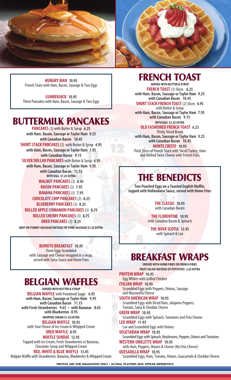

**HUNGRY MAN 10.95** French Toast with Ham, Bacon, Sausage & Two Eggs

**LUMBERJACK 10.95** Three Pancakes with Ham, Bacon, Sausage & Two Eggs

#### **BUTTERMILK PANCAKES**

**PANCAKES**(3) with Butter & Syrup **6.25 with Ham, Bacon,Sausage orTaylor Ham 9.25 with Canadian Bacon 10.45 SHORT STACK PANCAKES** (2) with Butter & Syrup 4.95 **with Ham, Bacon,Sausage orTaylor Ham 7.95 with Canadian Bacon 9.15 SILVER DOLLAR PANCAKES** with Butter & Syrup **6.95 with Ham, Bacon,Sausage orTaylor Ham 9.95 with Canadian Bacon 11.15 WITH EGG \$1.25 EXTRA WALNUT PANCAKES**(3) **8.45 RAISIN PANCAKES**(3) **7.95 BANANA PANCAKES**(3) **7.95 CHOCOLATE CHIP PANCAKES** (3) 8.25 **BLUEBERRY PANCAKES**(3) **8.25 ROLLED APPLECINNAMON PANCAKES**(3) **8.75 ROLLED CHERRY PANCAKES**(3) **8.75 OREO PANCAKES**(3) **8.25**

**BEEF OR TURKEY SAUSAGE INSTEAD OF PORK SAUSAGE \$1.25 EXTRA**

**BURRITO BREAKFAST 10.95** Three Eggs Scrambled with Sausage and Cheese wrapped in a wrap,

served with Salsa Sauce and Home Fries

# **BELGIAN WAFFLES**

**SERVED WITH BUTTER & SYRUP BELGIAN WAFFLE** with Powdered Sugar 6.95 **with Ham, Bacon,Sausage orTaylor Ham 9.95 with Canadian Bacon 11.15 with Fresh Strawberries 9.65 • with Bananas 8.65 with Blueberries 8.95 WHIPPED CREAM \$1.25 EXTRA BELGIAN WAFFLE 10.95** with Your Choice of Ice Cream & Whipped Cream

**OREO WAFFLE 8.95 WAFFLESUNDAE 12.95**

Topped with Ice Cream, Fresh Strawberries or Bananas, Chocolate Syrup and Whipped Cream **RED, WHITE & BLUE WAFFLE 13.45**

Belgian Waffle with Strawberries, Bananas, Blueberries & Whipped Cream

#### **FRENCH TOAST**

**SERVED WITH BUTTER & SYRUP FRENCH TOAST** (3) Slices 6.25 **with Ham, Bacon,Sausage orTaylor Ham 9.25 with Canadian Bacon 10.45 SHORT STACK FRENCH TOAST** (2) Slices **4.95** 

with Butter & Syrup

**with Ham, Bacon,Sausage orTaylor Ham 7.95 with Canadian Bacon 9.15 WITH EGG \$1.25 EXTRA**

#### **OLD FASHIONED FRENCH TOAST 6.25** Thinly Sliced Bread

**with Ham, Bacon,Sausage orTaylor Ham 9.25 with Canadian Bacon 10.45 MONTECRISTO 10.95** Thick Slices of French Toast with Sliced Turkey, Ham and Melted Swiss Cheese with French Fries

# **THE BENEDICTS**

**Two Poached Eggs on aToasted English Muffin, topped** with **Hollandaise Sauce,** served with Home Fries

> **THECLASSIC 10.95** with Canadian Bacon

**THEFLORENTINE 10.95** with Canadian Bacon & Spinach

**THE NOVA SCOTIA 12.95** with Spinach & Lox

### **BREAKFAST WRAPS**

**SERVED WITH HOME FRIES OR FRENCH FRIES FRUIT SALAD INSTEAD OF POTATOES 2.25 EXTRA PROTEIN WRAP 10.95**

Egg Whites with Grilled Chicken **ITALIAN WRAP 10.95** Scrambled Eggs with Peppers, Onions, Sausage and Mozzarella Cheese **SOUTH AMERICAN WRAP 10.95** Scrambled Eggs with Diced Ham, Jalapeno Peppers, Tomato, Salsa & Cheddar Cheese **GREEK WRAP 10.95** Scrambled Eggs with Spinach, Tomatoes and Feta Cheese **LEO WRAP 11.95** Lox and Scrambled Eggs with Onions **VEGETARIAN WRAP 10.95** Scrambled Eggs with Spinach, Mushrooms, Peppers, Onions and Tomatoes **WESTERN OMELETTE WRAP 10.95** with Ham, Peppers, Onions & Cheese (No Feta Cheese) **QUESADILLA WRAP 10.95** Scrambled Eggs, Ham, Tomato, Onions, Guacamole & Cheddar Cheese

**PHOTOS ARE FOR SUGGESTION ONLY • ACTUAL PLATTERS MAY APPEAR DIFFERENTLY.**